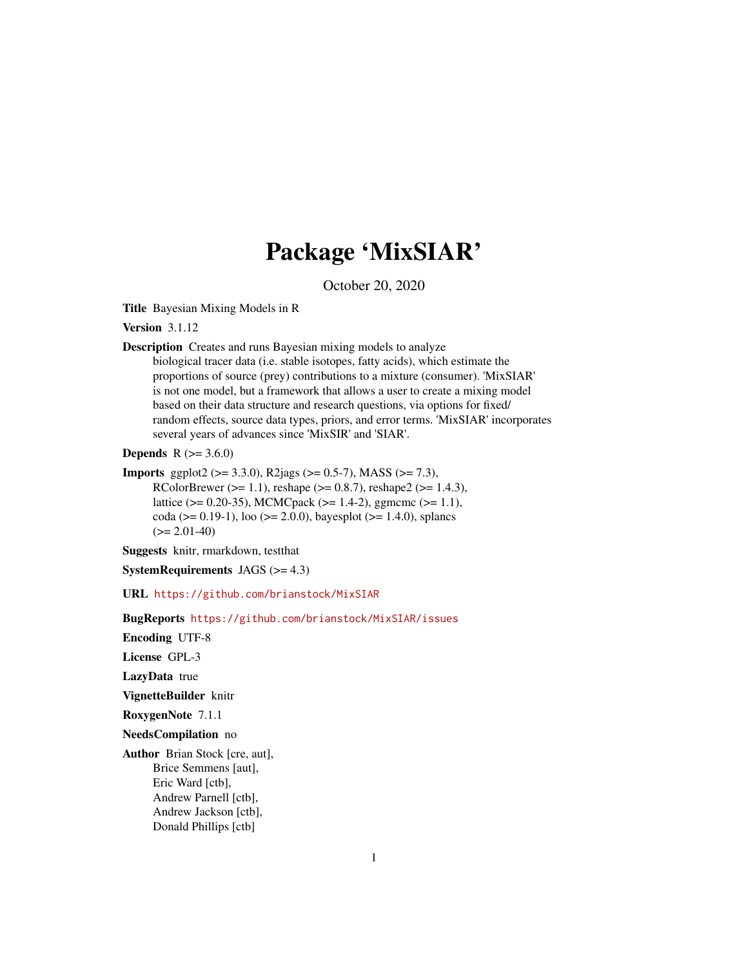# Package 'MixSIAR'

October 20, 2020

Title Bayesian Mixing Models in R

**Version 3.1.12** 

Description Creates and runs Bayesian mixing models to analyze biological tracer data (i.e. stable isotopes, fatty acids), which estimate the proportions of source (prey) contributions to a mixture (consumer). 'MixSIAR' is not one model, but a framework that allows a user to create a mixing model based on their data structure and research questions, via options for fixed/ random effects, source data types, priors, and error terms. 'MixSIAR' incorporates several years of advances since 'MixSIR' and 'SIAR'.

**Depends** R  $(>= 3.6.0)$ 

**Imports** ggplot2 ( $>= 3.3.0$ ), R2jags ( $>= 0.5$ -7), MASS ( $>= 7.3$ ), RColorBrewer ( $>= 1.1$ ), reshape ( $>= 0.8.7$ ), reshape2 ( $>= 1.4.3$ ), lattice (>= 0.20-35), MCMCpack (>= 1.4-2), ggmcmc (>= 1.1), coda (>= 0.19-1), loo (>= 2.0.0), bayesplot (>= 1.4.0), splancs  $(>= 2.01-40)$ 

Suggests knitr, rmarkdown, testthat

**SystemRequirements** JAGS  $(>= 4.3)$ 

URL <https://github.com/brianstock/MixSIAR>

BugReports <https://github.com/brianstock/MixSIAR/issues>

Encoding UTF-8

License GPL-3

LazyData true

VignetteBuilder knitr

RoxygenNote 7.1.1

NeedsCompilation no

Author Brian Stock [cre, aut], Brice Semmens [aut], Eric Ward [ctb], Andrew Parnell [ctb], Andrew Jackson [ctb], Donald Phillips [ctb]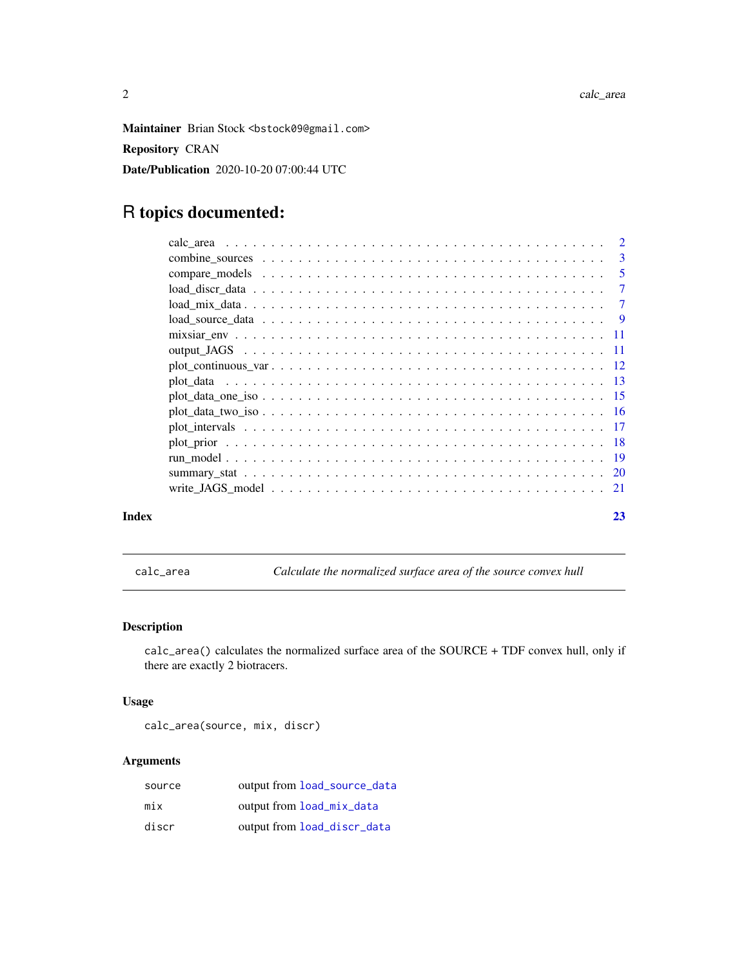<span id="page-1-0"></span>Maintainer Brian Stock <bstock09@gmail.com>

Repository CRAN

Date/Publication 2020-10-20 07:00:44 UTC

# R topics documented:

| Index | 23 |
|-------|----|

calc\_area *Calculate the normalized surface area of the source convex hull*

# Description

calc\_area() calculates the normalized surface area of the SOURCE + TDF convex hull, only if there are exactly 2 biotracers.

#### Usage

calc\_area(source, mix, discr)

| source | output from load_source_data |
|--------|------------------------------|
| mix    | output from load_mix_data    |
| discr  | output from load_discr_data  |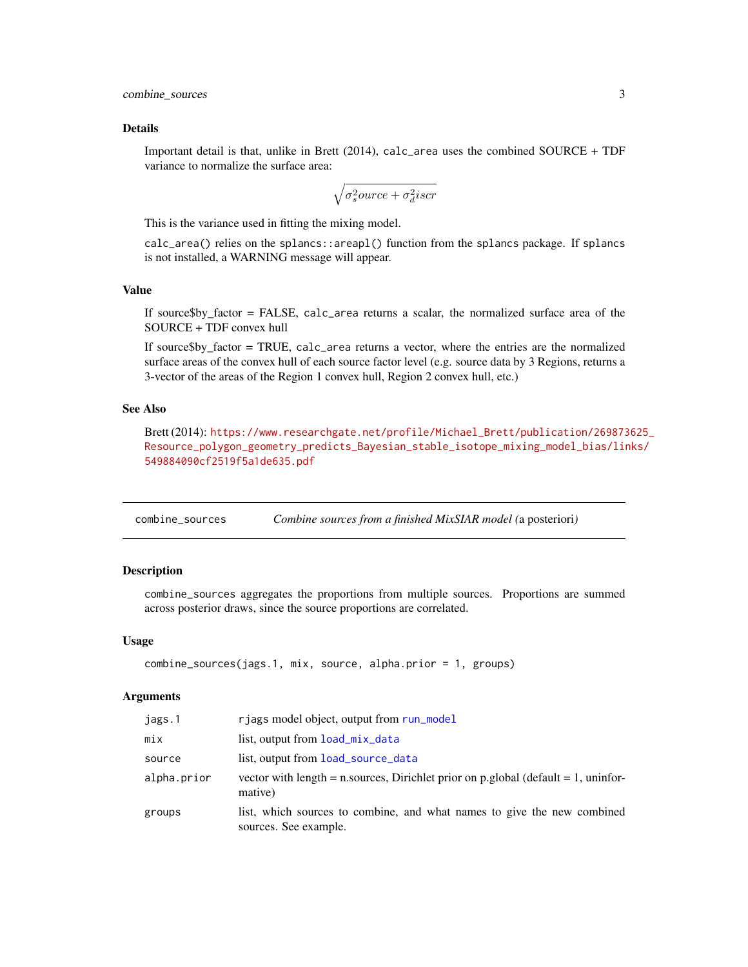#### <span id="page-2-0"></span>Details

Important detail is that, unlike in Brett (2014), calc\_area uses the combined SOURCE +  $TDF$ variance to normalize the surface area:

$$
\sqrt{\sigma_s^2ource + \sigma_d^2iscr}
$$

This is the variance used in fitting the mixing model.

calc\_area() relies on the splancs::areapl() function from the splancs package. If splancs is not installed, a WARNING message will appear.

#### Value

If source\$by\_factor = FALSE, calc\_area returns a scalar, the normalized surface area of the SOURCE + TDF convex hull

If source\$by\_factor = TRUE, calc\_area returns a vector, where the entries are the normalized surface areas of the convex hull of each source factor level (e.g. source data by 3 Regions, returns a 3-vector of the areas of the Region 1 convex hull, Region 2 convex hull, etc.)

# See Also

Brett (2014): [https://www.researchgate.net/profile/Michael\\_Brett/publication/269873](https://www.researchgate.net/profile/Michael_Brett/publication/269873625_Resource_polygon_geometry_predicts_Bayesian_stable_isotope_mixing_model_bias/links/549884090cf2519f5a1de635.pdf)625\_ [Resource\\_polygon\\_geometry\\_predicts\\_Bayesian\\_stable\\_isotope\\_mixing\\_model\\_bias/lin](https://www.researchgate.net/profile/Michael_Brett/publication/269873625_Resource_polygon_geometry_predicts_Bayesian_stable_isotope_mixing_model_bias/links/549884090cf2519f5a1de635.pdf)ks/ [549884090cf2519f5a1de635.pdf](https://www.researchgate.net/profile/Michael_Brett/publication/269873625_Resource_polygon_geometry_predicts_Bayesian_stable_isotope_mixing_model_bias/links/549884090cf2519f5a1de635.pdf)

<span id="page-2-1"></span>combine\_sources *Combine sources from a finished MixSIAR model (*a posteriori*)*

#### Description

combine\_sources aggregates the proportions from multiple sources. Proportions are summed across posterior draws, since the source proportions are correlated.

#### Usage

```
combine_sources(jags.1, mix, source, alpha.prior = 1, groups)
```

| jags.1      | rjags model object, output from run_model                                                        |
|-------------|--------------------------------------------------------------------------------------------------|
| mix         | list, output from load_mix_data                                                                  |
| source      | list, output from load_source_data                                                               |
| alpha.prior | vector with length = n.sources, Dirichlet prior on p.global (default = 1, uninfor-<br>mative)    |
| groups      | list, which sources to combine, and what names to give the new combined<br>sources. See example. |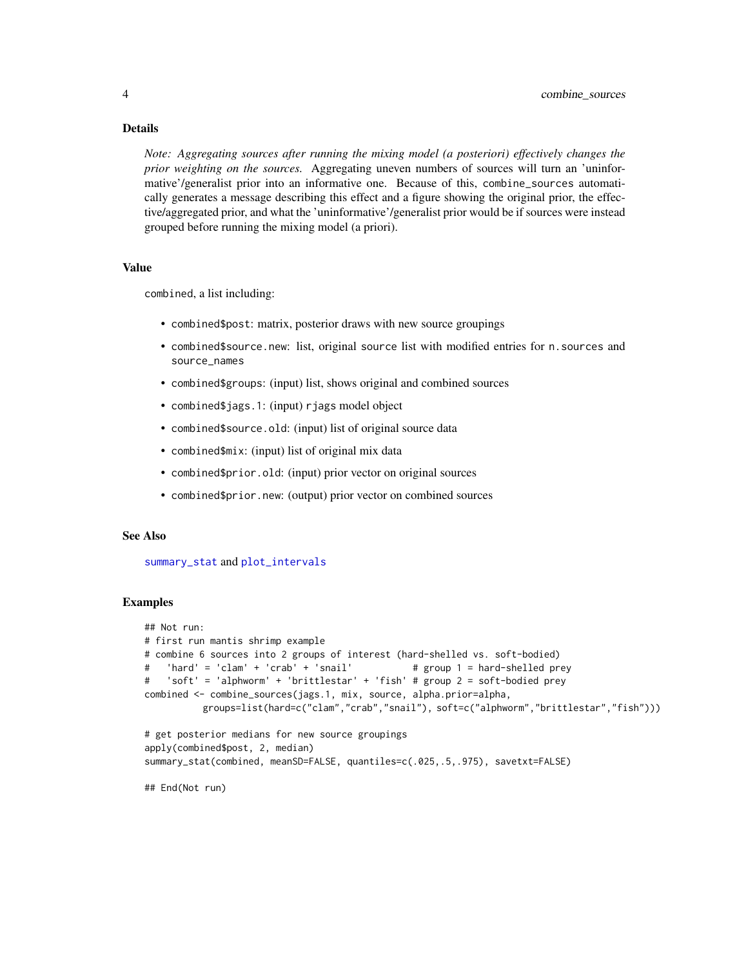# <span id="page-3-0"></span>Details

*Note: Aggregating sources after running the mixing model (a posteriori) effectively changes the prior weighting on the sources.* Aggregating uneven numbers of sources will turn an 'uninformative'/generalist prior into an informative one. Because of this, combine\_sources automatically generates a message describing this effect and a figure showing the original prior, the effective/aggregated prior, and what the 'uninformative'/generalist prior would be if sources were instead grouped before running the mixing model (a priori).

### Value

combined, a list including:

- combined\$post: matrix, posterior draws with new source groupings
- combined\$source.new: list, original source list with modified entries for n.sources and source\_names
- combined\$groups: (input) list, shows original and combined sources
- combined\$jags.1: (input) rjags model object
- combined\$source.old: (input) list of original source data
- combined\$mix: (input) list of original mix data
- combined\$prior.old: (input) prior vector on original sources
- combined\$prior.new: (output) prior vector on combined sources

# See Also

[summary\\_stat](#page-19-1) and [plot\\_intervals](#page-16-1)

#### Examples

```
## Not run:
# first run mantis shrimp example
# combine 6 sources into 2 groups of interest (hard-shelled vs. soft-bodied)
# 'hard' = 'clam' + 'crab' + 'snail' # group 1 = hard-shelled prey
# 'soft' = 'alphworm' + 'brittlestar' + 'fish' # group 2 = soft-bodied prey
combined <- combine_sources(jags.1, mix, source, alpha.prior=alpha,
          groups=list(hard=c("clam","crab","snail"), soft=c("alphworm","brittlestar","fish")))
# get posterior medians for new source groupings
apply(combined$post, 2, median)
summary_stat(combined, meanSD=FALSE, quantiles=c(.025,.5,.975), savetxt=FALSE)
```
## End(Not run)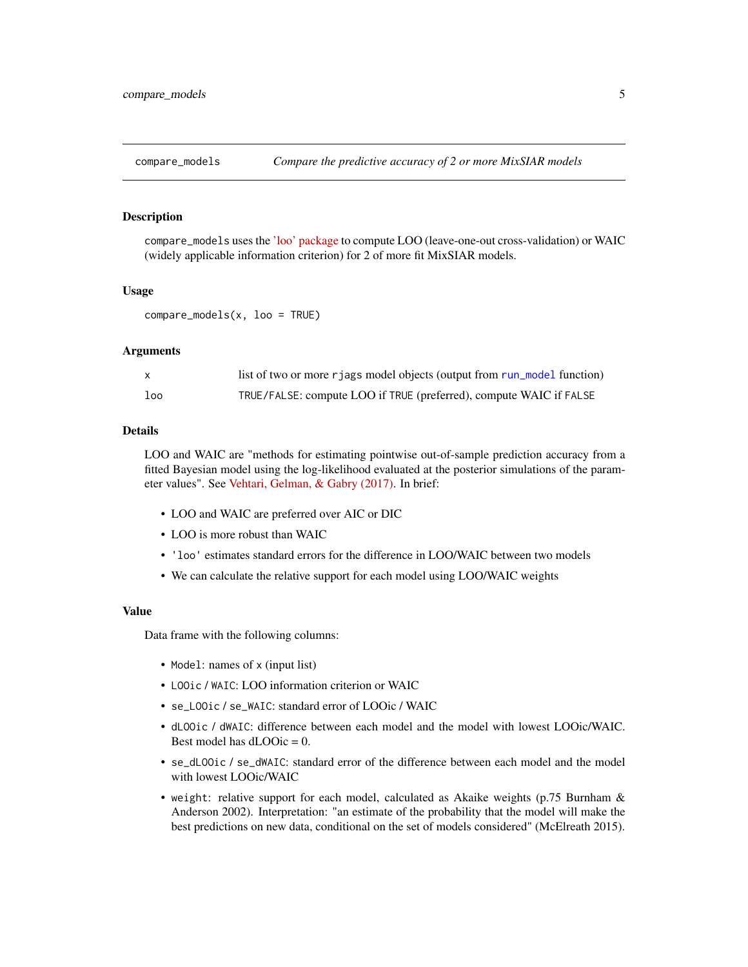<span id="page-4-0"></span>

#### **Description**

compare\_models uses the ['loo' package](https://CRAN.R-project.org/package=loo) to compute LOO (leave-one-out cross-validation) or WAIC (widely applicable information criterion) for 2 of more fit MixSIAR models.

#### Usage

compare\_models(x, loo = TRUE)

#### Arguments

|     | list of two or more rjags model objects (output from run_model function) |
|-----|--------------------------------------------------------------------------|
| loo | TRUE/FALSE: compute LOO if TRUE (preferred), compute WAIC if FALSE       |

#### Details

LOO and WAIC are "methods for estimating pointwise out-of-sample prediction accuracy from a fitted Bayesian model using the log-likelihood evaluated at the posterior simulations of the parameter values". See [Vehtari, Gelman, & Gabry \(2017\).](https://link.springer.com/article/10.1007/s11222-016-9696-4) In brief:

- LOO and WAIC are preferred over AIC or DIC
- LOO is more robust than WAIC
- 'loo' estimates standard errors for the difference in LOO/WAIC between two models
- We can calculate the relative support for each model using LOO/WAIC weights

#### Value

Data frame with the following columns:

- Model: names of x (input list)
- LOOic / WAIC: LOO information criterion or WAIC
- se\_LOOic / se\_WAIC: standard error of LOOic / WAIC
- dLOOic / dWAIC: difference between each model and the model with lowest LOOic/WAIC. Best model has  $dLOOic = 0$ .
- se\_dLOOic / se\_dWAIC: standard error of the difference between each model and the model with lowest LOOic/WAIC
- weight: relative support for each model, calculated as Akaike weights (p.75 Burnham & Anderson 2002). Interpretation: "an estimate of the probability that the model will make the best predictions on new data, conditional on the set of models considered" (McElreath 2015).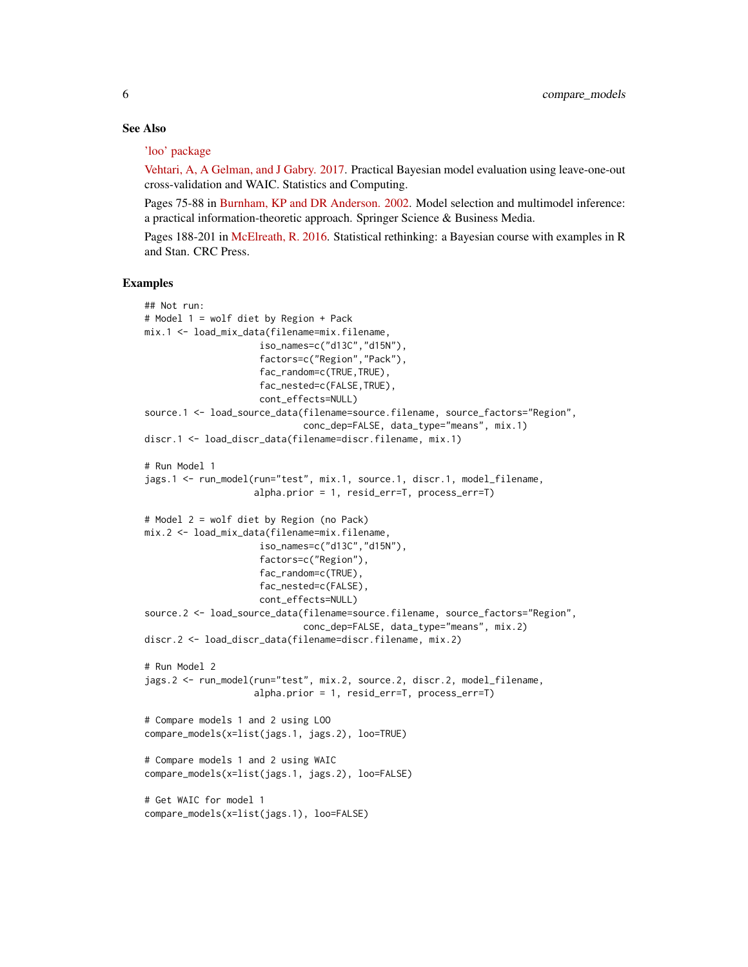#### See Also

['loo' package](https://CRAN.R-project.org/package=loo)

[Vehtari, A, A Gelman, and J Gabry. 2017.](https://link.springer.com/article/10.1007/s11222-016-9696-4) Practical Bayesian model evaluation using leave-one-out cross-validation and WAIC. Statistics and Computing.

Pages 75-88 in [Burnham, KP and DR Anderson. 2002.](https://www.springer.com/us/book/9780387953649) Model selection and multimodel inference: a practical information-theoretic approach. Springer Science & Business Media.

Pages 188-201 in [McElreath, R. 2016.](https://www.routledge.com/Statistical-Rethinking-A-Bayesian-Course-with-Examples-in-R-and-STAN/McElreath/p/book/9780367139919) Statistical rethinking: a Bayesian course with examples in R and Stan. CRC Press.

#### Examples

```
## Not run:
# Model 1 = wolf diet by Region + Pack
mix.1 <- load_mix_data(filename=mix.filename,
                     iso_names=c("d13C","d15N"),
                     factors=c("Region","Pack"),
                     fac_random=c(TRUE,TRUE),
                     fac_nested=c(FALSE,TRUE),
                     cont_effects=NULL)
source.1 <- load_source_data(filename=source.filename, source_factors="Region",
                             conc_dep=FALSE, data_type="means", mix.1)
discr.1 <- load_discr_data(filename=discr.filename, mix.1)
# Run Model 1
jags.1 <- run_model(run="test", mix.1, source.1, discr.1, model_filename,
                    alpha.prior = 1, resid_err=T, process_err=T)
# Model 2 = wolf diet by Region (no Pack)
mix.2 <- load_mix_data(filename=mix.filename,
                     iso_names=c("d13C","d15N"),
                     factors=c("Region"),
                     fac_random=c(TRUE),
                     fac_nested=c(FALSE),
                     cont_effects=NULL)
source.2 <- load_source_data(filename=source.filename, source_factors="Region",
                             conc_dep=FALSE, data_type="means", mix.2)
discr.2 <- load_discr_data(filename=discr.filename, mix.2)
# Run Model 2
jags.2 <- run_model(run="test", mix.2, source.2, discr.2, model_filename,
                    alpha.prior = 1, resid_err=T, process_err=T)
# Compare models 1 and 2 using LOO
compare_models(x=list(jags.1, jags.2), loo=TRUE)
# Compare models 1 and 2 using WAIC
compare_models(x=list(jags.1, jags.2), loo=FALSE)
# Get WAIC for model 1
compare_models(x=list(jags.1), loo=FALSE)
```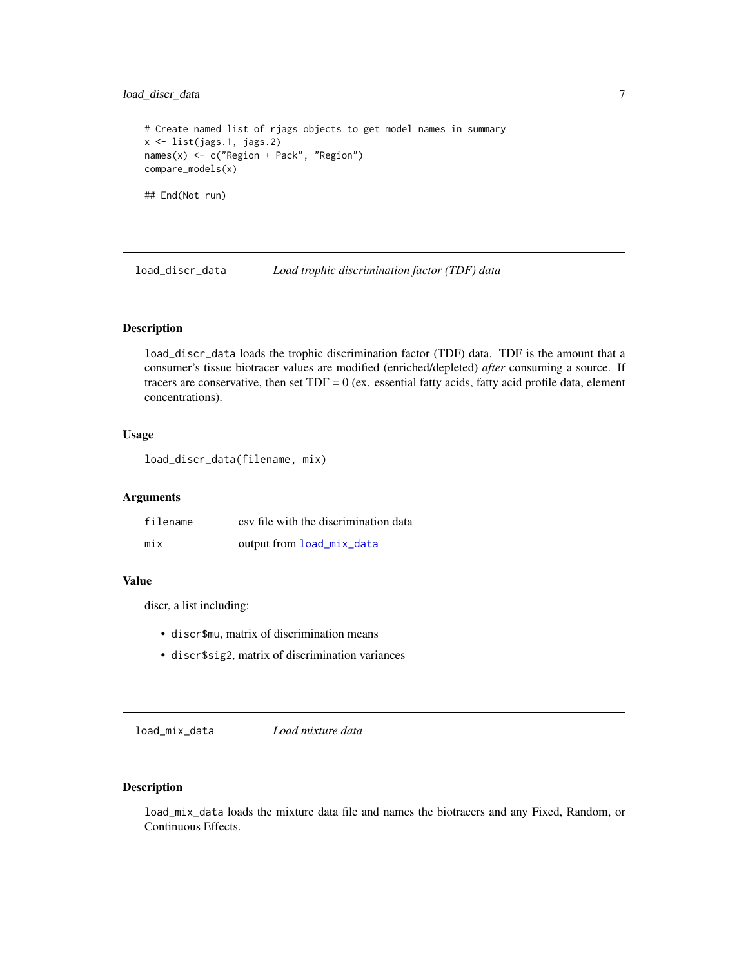# <span id="page-6-0"></span>load\_discr\_data 7

```
# Create named list of rjags objects to get model names in summary
x <- list(jags.1, jags.2)
names(x) <- c("Region + Pack", "Region")
compare_models(x)
## End(Not run)
```
<span id="page-6-2"></span>load\_discr\_data *Load trophic discrimination factor (TDF) data*

# Description

load\_discr\_data loads the trophic discrimination factor (TDF) data. TDF is the amount that a consumer's tissue biotracer values are modified (enriched/depleted) *after* consuming a source. If tracers are conservative, then set  $TDF = 0$  (ex. essential fatty acids, fatty acid profile data, element concentrations).

#### Usage

```
load_discr_data(filename, mix)
```
# Arguments

| filename | csy file with the discrimination data |
|----------|---------------------------------------|
| mix      | output from load_mix_data             |

#### Value

discr, a list including:

- discr\$mu, matrix of discrimination means
- discr\$sig2, matrix of discrimination variances

<span id="page-6-1"></span>load\_mix\_data *Load mixture data*

# Description

load\_mix\_data loads the mixture data file and names the biotracers and any Fixed, Random, or Continuous Effects.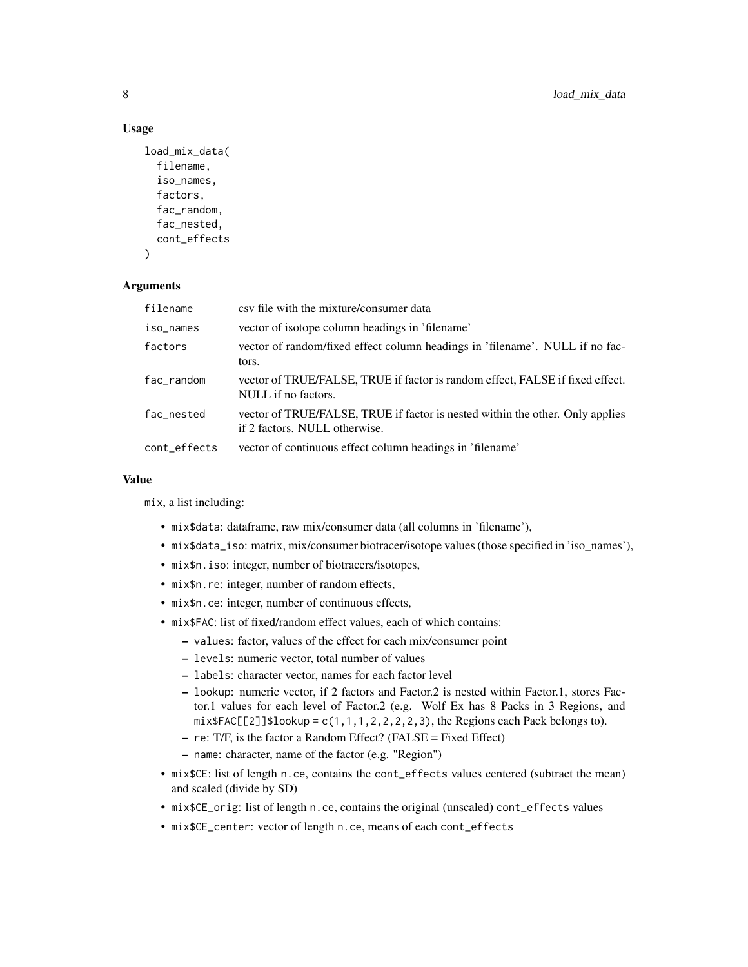#### Usage

```
load_mix_data(
  filename,
  iso_names,
  factors,
  fac_random,
  fac_nested,
  cont_effects
\lambda
```
#### Arguments

| filename     | csy file with the mixture/consumer data                                                                        |
|--------------|----------------------------------------------------------------------------------------------------------------|
| iso_names    | vector of isotope column headings in 'filename'                                                                |
| factors      | vector of random/fixed effect column headings in 'filename'. NULL if no fac-<br>tors.                          |
| fac_random   | vector of TRUE/FALSE, TRUE if factor is random effect, FALSE if fixed effect.<br>NULL if no factors.           |
| fac_nested   | vector of TRUE/FALSE, TRUE if factor is nested within the other. Only applies<br>if 2 factors. NULL otherwise. |
| cont_effects | vector of continuous effect column headings in 'filename'                                                      |

#### Value

mix, a list including:

- mix\$data: dataframe, raw mix/consumer data (all columns in 'filename'),
- mix\$data\_iso: matrix, mix/consumer biotracer/isotope values (those specified in 'iso\_names'),
- mix\$n.iso: integer, number of biotracers/isotopes,
- mix\$n.re: integer, number of random effects,
- mix\$n.ce: integer, number of continuous effects,
- mix\$FAC: list of fixed/random effect values, each of which contains:
	- values: factor, values of the effect for each mix/consumer point
	- levels: numeric vector, total number of values
	- labels: character vector, names for each factor level
	- lookup: numeric vector, if 2 factors and Factor.2 is nested within Factor.1, stores Factor.1 values for each level of Factor.2 (e.g. Wolf Ex has 8 Packs in 3 Regions, and  $mix$FAC[[2]]$$ lookup = c(1,1,1,2,2,2,2,3), the Regions each Pack belongs to).
	- re: T/F, is the factor a Random Effect? (FALSE = Fixed Effect)
	- name: character, name of the factor (e.g. "Region")
- mix\$CE: list of length n.ce, contains the cont\_effects values centered (subtract the mean) and scaled (divide by SD)
- mix\$CE\_orig: list of length n.ce, contains the original (unscaled) cont\_effects values
- mix\$CE\_center: vector of length n.ce, means of each cont\_effects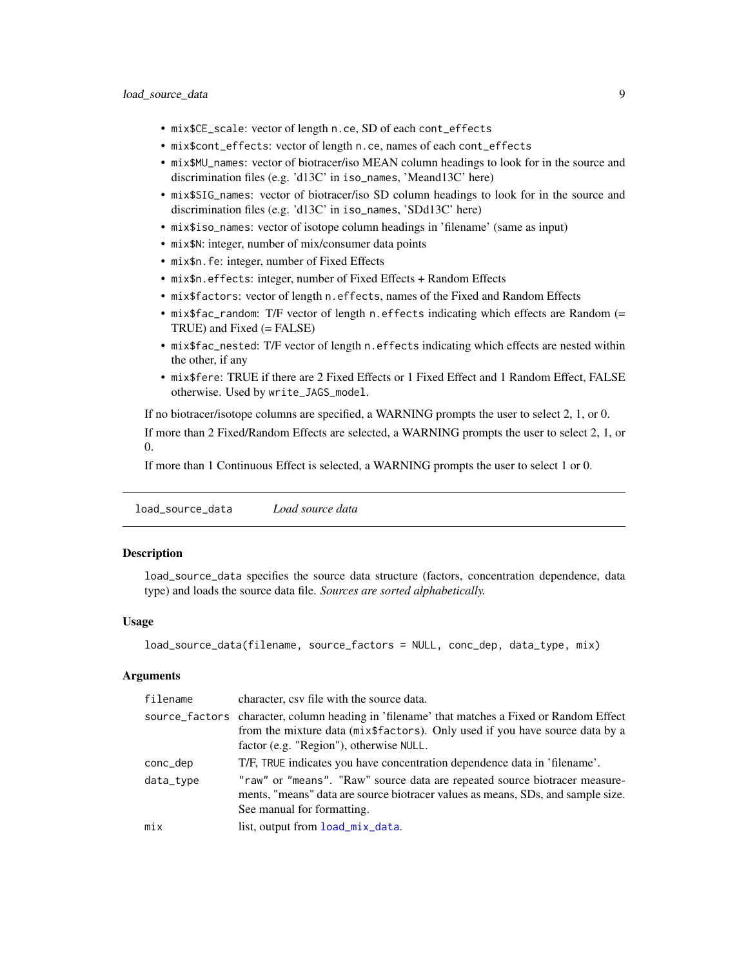- <span id="page-8-0"></span>• mix\$CE\_scale: vector of length n.ce, SD of each cont\_effects
- mix\$cont\_effects: vector of length n.ce, names of each cont\_effects
- mix\$MU\_names: vector of biotracer/iso MEAN column headings to look for in the source and discrimination files (e.g. 'd13C' in iso\_names, 'Meand13C' here)
- mix\$SIG\_names: vector of biotracer/iso SD column headings to look for in the source and discrimination files (e.g. 'd13C' in iso\_names, 'SDd13C' here)
- mix\$iso\_names: vector of isotope column headings in 'filename' (same as input)
- mix\$N: integer, number of mix/consumer data points
- mix\$n.fe: integer, number of Fixed Effects
- mix\$n.effects: integer, number of Fixed Effects + Random Effects
- mix\$factors: vector of length n.effects, names of the Fixed and Random Effects
- mix\$fac\_random: T/F vector of length n.effects indicating which effects are Random (= TRUE) and Fixed (= FALSE)
- mix\$fac\_nested: T/F vector of length n.effects indicating which effects are nested within the other, if any
- mix\$fere: TRUE if there are 2 Fixed Effects or 1 Fixed Effect and 1 Random Effect, FALSE otherwise. Used by write\_JAGS\_model.

If no biotracer/isotope columns are specified, a WARNING prompts the user to select 2, 1, or 0.

If more than 2 Fixed/Random Effects are selected, a WARNING prompts the user to select 2, 1, or 0.

If more than 1 Continuous Effect is selected, a WARNING prompts the user to select 1 or 0.

<span id="page-8-1"></span>load\_source\_data *Load source data*

#### **Description**

load\_source\_data specifies the source data structure (factors, concentration dependence, data type) and loads the source data file. *Sources are sorted alphabetically.*

#### Usage

```
load_source_data(filename, source_factors = NULL, conc_dep, data_type, mix)
```

| filename  | character, csv file with the source data.                                                                                                                                                                               |
|-----------|-------------------------------------------------------------------------------------------------------------------------------------------------------------------------------------------------------------------------|
|           | source_factors character, column heading in 'filename' that matches a Fixed or Random Effect<br>from the mixture data (mix\$factors). Only used if you have source data by a<br>factor (e.g. "Region"), otherwise NULL. |
| conc_dep  | T/F, TRUE indicates you have concentration dependence data in 'filename'.                                                                                                                                               |
| data_type | "raw" or "means". "Raw" source data are repeated source biotracer measure-<br>ments, "means" data are source biotracer values as means, SDs, and sample size.<br>See manual for formatting.                             |
| mix       | list, output from load_mix_data.                                                                                                                                                                                        |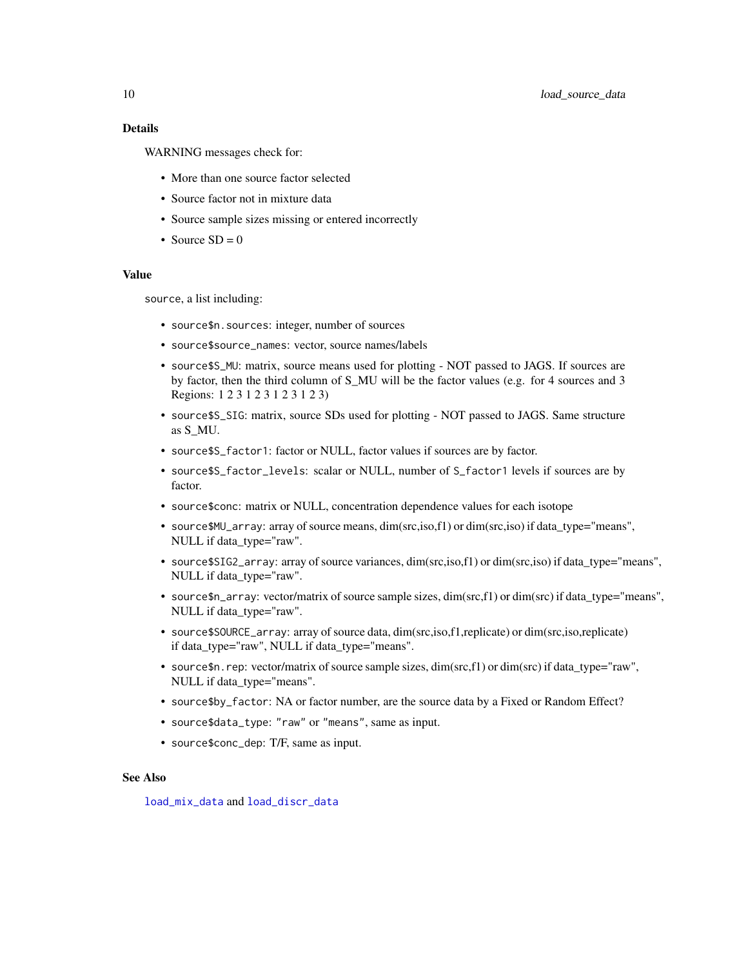# <span id="page-9-0"></span>Details

WARNING messages check for:

- More than one source factor selected
- Source factor not in mixture data
- Source sample sizes missing or entered incorrectly
- Source  $SD = 0$

#### Value

source, a list including:

- source\$n.sources: integer, number of sources
- source\$source\_names: vector, source names/labels
- source\$S\_MU: matrix, source means used for plotting NOT passed to JAGS. If sources are by factor, then the third column of S\_MU will be the factor values (e.g. for 4 sources and 3 Regions: 1 2 3 1 2 3 1 2 3 1 2 3)
- source\$S\_SIG: matrix, source SDs used for plotting NOT passed to JAGS. Same structure as S\_MU.
- source\$S\_factor1: factor or NULL, factor values if sources are by factor.
- source\$S\_factor\_levels: scalar or NULL, number of S\_factor1 levels if sources are by factor.
- source\$conc: matrix or NULL, concentration dependence values for each isotope
- source\$MU\_array: array of source means, dim(src,iso,f1) or dim(src,iso) if data\_type="means", NULL if data\_type="raw".
- source\$SIG2\_array: array of source variances, dim(src,iso,f1) or dim(src,iso) if data\_type="means", NULL if data\_type="raw".
- source\$n\_array: vector/matrix of source sample sizes, dim(src,f1) or dim(src) if data\_type="means", NULL if data\_type="raw".
- source\$SOURCE\_array: array of source data, dim(src,iso,f1,replicate) or dim(src,iso,replicate) if data\_type="raw", NULL if data\_type="means".
- source\$n.rep: vector/matrix of source sample sizes, dim(src,f1) or dim(src) if data\_type="raw", NULL if data\_type="means".
- source\$by\_factor: NA or factor number, are the source data by a Fixed or Random Effect?
- source\$data\_type: "raw" or "means", same as input.
- source\$conc\_dep: T/F, same as input.

# See Also

[load\\_mix\\_data](#page-6-1) and [load\\_discr\\_data](#page-6-2)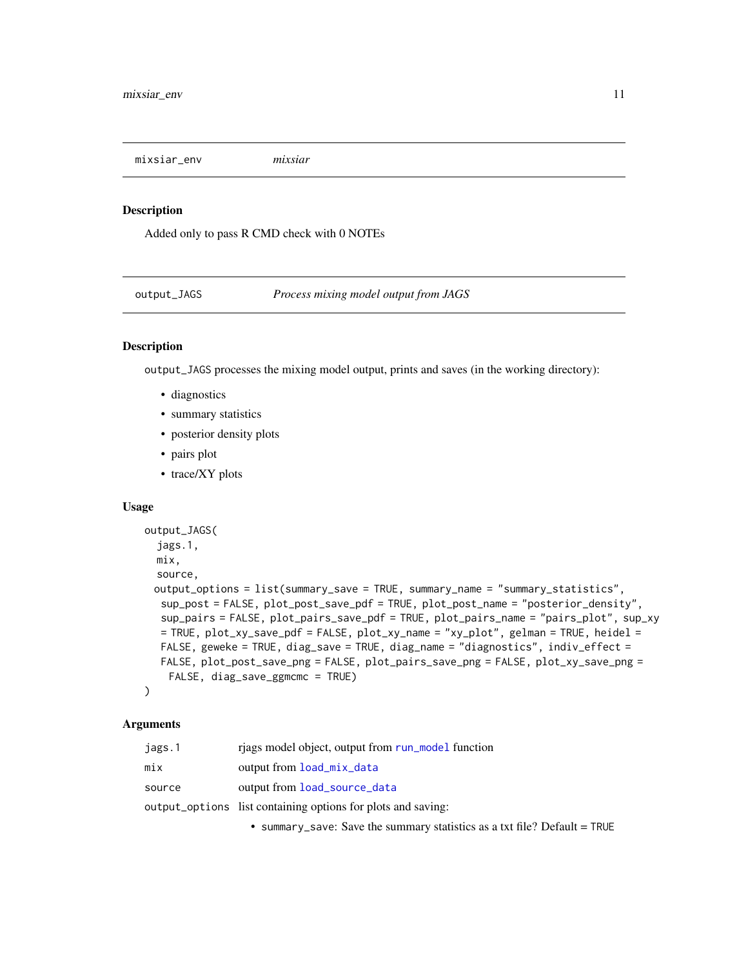<span id="page-10-0"></span>mixsiar\_env *mixsiar*

#### Description

Added only to pass R CMD check with 0 NOTEs

<span id="page-10-1"></span>output\_JAGS *Process mixing model output from JAGS*

# Description

output\_JAGS processes the mixing model output, prints and saves (in the working directory):

- diagnostics
- summary statistics
- posterior density plots
- pairs plot
- trace/XY plots

#### Usage

```
output_JAGS(
  jags.1,
 mix,
  source,
 output_options = list(summary_save = TRUE, summary_name = "summary_statistics",
  sup_post = FALSE, plot_post_save_pdf = TRUE, plot_post_name = "posterior_density",
  sup_pairs = FALSE, plot_pairs_save_pdf = TRUE, plot_pairs_name = "pairs_plot", sup_xy
  = TRUE, plot_xy_save_pdf = FALSE, plot_xy_name = "xy_plot", gelman = TRUE, heidel =
  FALSE, geweke = TRUE, diag_save = TRUE, diag_name = "diagnostics", indiv_effect =
  FALSE, plot_post_save_png = FALSE, plot_pairs_save_png = FALSE, plot_xy_save_png =
    FALSE, diag_save_ggmcmc = TRUE)
\mathcal{L}
```
#### Arguments

| jags.1 | riags model object, output from run_model function           |
|--------|--------------------------------------------------------------|
| mix    | output from load_mix_data                                    |
| source | output from load_source_data                                 |
|        | output_options list containing options for plots and saving: |
|        |                                                              |

• summary\_save: Save the summary statistics as a txt file? Default = TRUE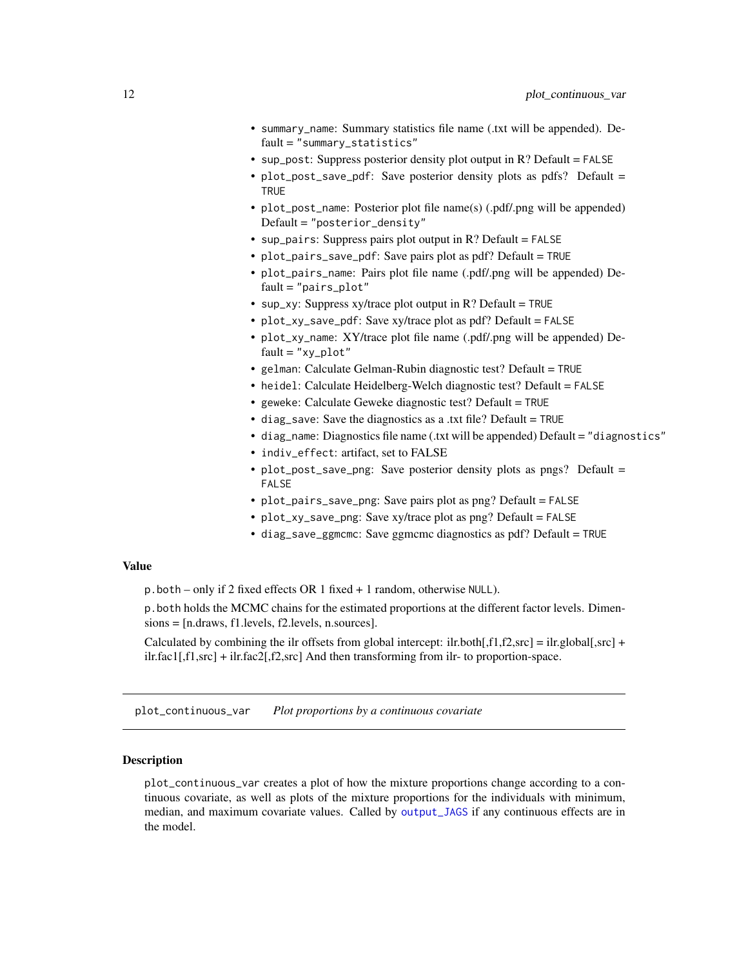- <span id="page-11-0"></span>• summary\_name: Summary statistics file name (.txt will be appended). Default = "summary\_statistics"
- sup\_post: Suppress posterior density plot output in R? Default = FALSE
- plot\_post\_save\_pdf: Save posterior density plots as pdfs? Default = TRUE
- plot\_post\_name: Posterior plot file name(s) (.pdf/.png will be appended) Default = "posterior\_density"
- sup\_pairs: Suppress pairs plot output in  $\mathbb{R}$ ? Default = FALSE
- plot\_pairs\_save\_pdf: Save pairs plot as pdf? Default = TRUE
- plot\_pairs\_name: Pairs plot file name (.pdf/.png will be appended) Default = "pairs\_plot"
- sup\_xy: Suppress  $xy$ /trace plot output in R? Default = TRUE
- plot\_xy\_save\_pdf: Save xy/trace plot as pdf? Default = FALSE
- plot\_xy\_name: XY/trace plot file name (.pdf/.png will be appended) De $fault = "xy.plot"$
- gelman: Calculate Gelman-Rubin diagnostic test? Default = TRUE
- heidel: Calculate Heidelberg-Welch diagnostic test? Default = FALSE
- geweke: Calculate Geweke diagnostic test? Default = TRUE
- diag\_save: Save the diagnostics as a .txt file? Default = TRUE
- diag\_name: Diagnostics file name (.txt will be appended) Default = "diagnostics"
- indiv\_effect: artifact, set to FALSE
- plot\_post\_save\_png: Save posterior density plots as pngs? Default = FALSE
- plot\_pairs\_save\_png: Save pairs plot as png? Default = FALSE
- plot\_xy\_save\_png: Save xy/trace plot as png? Default = FALSE
- diag\_save\_ggmcmc: Save ggmcmc diagnostics as pdf? Default = TRUE

#### Value

p.both – only if 2 fixed effects OR 1 fixed + 1 random, otherwise NULL).

p.both holds the MCMC chains for the estimated proportions at the different factor levels. Dimensions = [n.draws, f1.levels, f2.levels, n.sources].

Calculated by combining the ilr offsets from global intercept: ilr.both[,f1,f2,src] = ilr.global[,src] + ilr.fac1[,f1,src] + ilr.fac2[,f2,src] And then transforming from ilr- to proportion-space.

plot\_continuous\_var *Plot proportions by a continuous covariate*

#### Description

plot\_continuous\_var creates a plot of how the mixture proportions change according to a continuous covariate, as well as plots of the mixture proportions for the individuals with minimum, median, and maximum covariate values. Called by [output\\_JAGS](#page-10-1) if any continuous effects are in the model.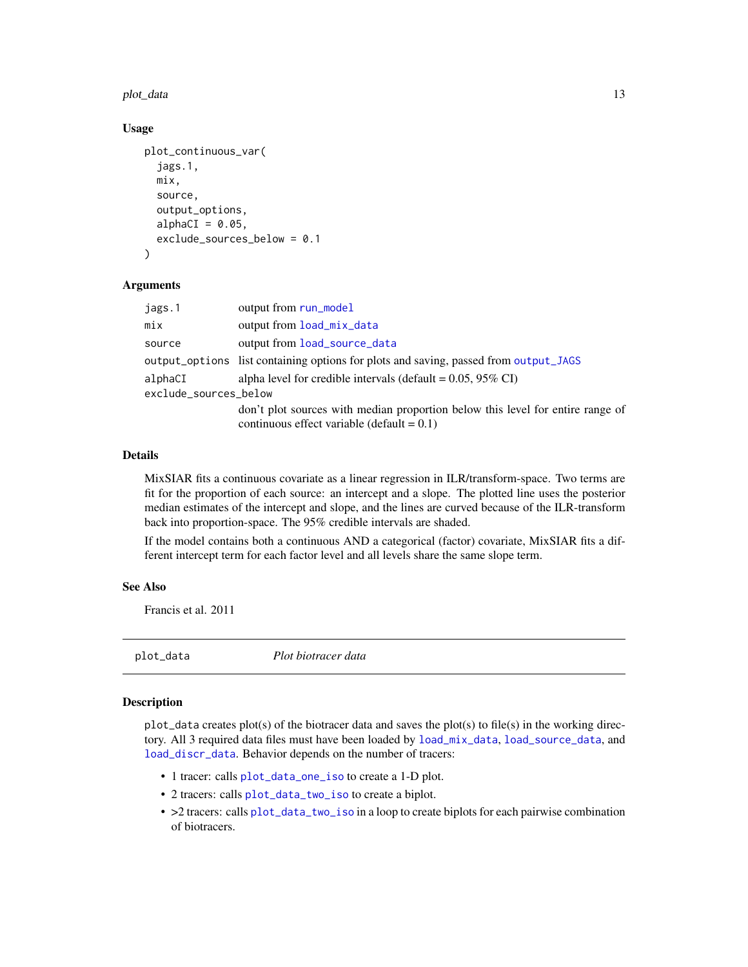<span id="page-12-0"></span>plot\_data 13

#### Usage

```
plot_continuous_var(
  jags.1,
  mix,
  source,
  output_options,
  alphaCI = 0.05,
  exclude_sources_below = 0.1
)
```
# **Arguments**

| output from run_model                                                                                                           |
|---------------------------------------------------------------------------------------------------------------------------------|
| output from load_mix_data                                                                                                       |
| output from load_source_data                                                                                                    |
| output_options list containing options for plots and saving, passed from output_JAGS                                            |
| alpha level for credible intervals (default = $0.05$ , 95% CI)                                                                  |
| exclude_sources_below                                                                                                           |
| don't plot sources with median proportion below this level for entire range of<br>continuous effect variable (default = $0.1$ ) |
|                                                                                                                                 |

# Details

MixSIAR fits a continuous covariate as a linear regression in ILR/transform-space. Two terms are fit for the proportion of each source: an intercept and a slope. The plotted line uses the posterior median estimates of the intercept and slope, and the lines are curved because of the ILR-transform back into proportion-space. The 95% credible intervals are shaded.

If the model contains both a continuous AND a categorical (factor) covariate, MixSIAR fits a different intercept term for each factor level and all levels share the same slope term.

#### See Also

Francis et al. 2011

<span id="page-12-1"></span>

plot\_data *Plot biotracer data*

#### **Description**

 $plot_data$  creates plot(s) of the biotracer data and saves the plot(s) to file(s) in the working directory. All 3 required data files must have been loaded by [load\\_mix\\_data](#page-6-1), [load\\_source\\_data](#page-8-1), and [load\\_discr\\_data](#page-6-2). Behavior depends on the number of tracers:

- 1 tracer: calls [plot\\_data\\_one\\_iso](#page-14-1) to create a 1-D plot.
- 2 tracers: calls [plot\\_data\\_two\\_iso](#page-15-1) to create a biplot.
- >2 tracers: calls [plot\\_data\\_two\\_iso](#page-15-1) in a loop to create biplots for each pairwise combination of biotracers.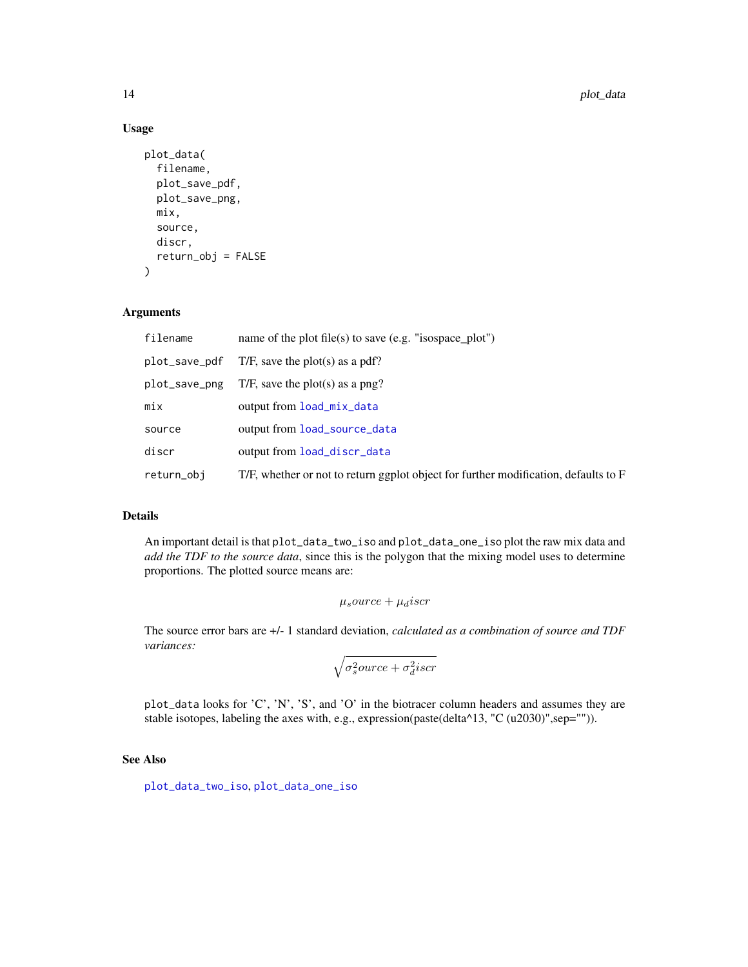# Usage

```
plot_data(
  filename,
 plot_save_pdf,
 plot_save_png,
 mix,
  source,
 discr,
  return_obj = FALSE
\lambda
```
#### Arguments

| filename      | name of the plot file(s) to save (e.g. "isospace_plot")                             |
|---------------|-------------------------------------------------------------------------------------|
| plot_save_pdf | T/F, save the plot(s) as a pdf?                                                     |
| plot_save_png | T/F, save the plot(s) as a png?                                                     |
| mix           | output from load_mix_data                                                           |
| source        | output from load_source_data                                                        |
| discr         | output from load_discr_data                                                         |
| return_obj    | T/F, whether or not to return ggplot object for further modification, defaults to F |

#### Details

An important detail is that plot\_data\_two\_iso and plot\_data\_one\_iso plot the raw mix data and *add the TDF to the source data*, since this is the polygon that the mixing model uses to determine proportions. The plotted source means are:

$$
\mu_{s}ource + \mu_{d}iscr
$$

The source error bars are +/- 1 standard deviation, *calculated as a combination of source and TDF variances:*

$$
\sqrt{\sigma_s^2ource + \sigma_d^2iscr}
$$

plot\_data looks for 'C', 'N', 'S', and 'O' in the biotracer column headers and assumes they are stable isotopes, labeling the axes with, e.g., expression(paste(delta^13, "C (u2030)",sep="")).

# See Also

[plot\\_data\\_two\\_iso](#page-15-1), [plot\\_data\\_one\\_iso](#page-14-1)

<span id="page-13-0"></span>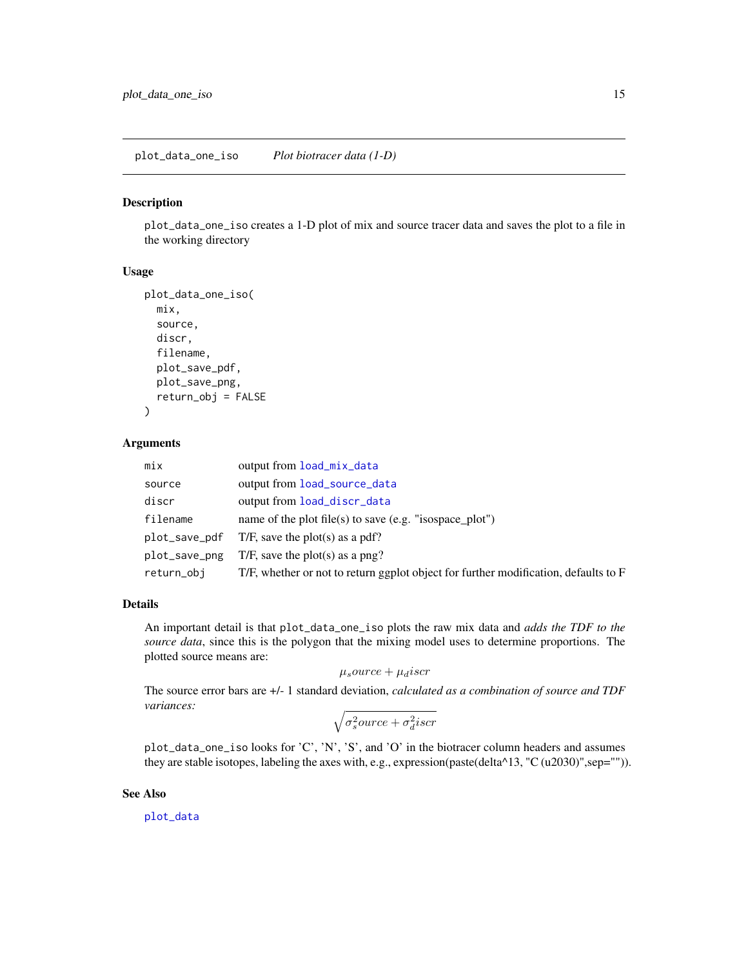<span id="page-14-1"></span><span id="page-14-0"></span>plot\_data\_one\_iso *Plot biotracer data (1-D)*

### Description

plot\_data\_one\_iso creates a 1-D plot of mix and source tracer data and saves the plot to a file in the working directory

#### Usage

```
plot_data_one_iso(
  mix,
  source,
  discr,
  filename,
  plot_save_pdf,
  plot_save_png,
  return_obj = FALSE
\mathcal{L}
```
#### Arguments

| mix           | output from load_mix_data                                                           |
|---------------|-------------------------------------------------------------------------------------|
| source        | output from load_source_data                                                        |
| discr         | output from load_discr_data                                                         |
| filename      | name of the plot file(s) to save (e.g. "isospace_plot")                             |
| plot_save_pdf | T/F, save the plot(s) as a pdf?                                                     |
| plot_save_png | T/F, save the plot(s) as a png?                                                     |
| return_obj    | T/F, whether or not to return ggplot object for further modification, defaults to F |

# Details

An important detail is that plot\_data\_one\_iso plots the raw mix data and *adds the TDF to the source data*, since this is the polygon that the mixing model uses to determine proportions. The plotted source means are:

 $\mu_s$ ource +  $\mu_d$ iscr

The source error bars are +/- 1 standard deviation, *calculated as a combination of source and TDF variances:*

$$
\sqrt{\sigma_s^2ource + \sigma_d^2iscr}
$$

plot\_data\_one\_iso looks for 'C', 'N', 'S', and 'O' in the biotracer column headers and assumes they are stable isotopes, labeling the axes with, e.g., expression(paste(delta^13, "C (u2030)",sep="")).

See Also

[plot\\_data](#page-12-1)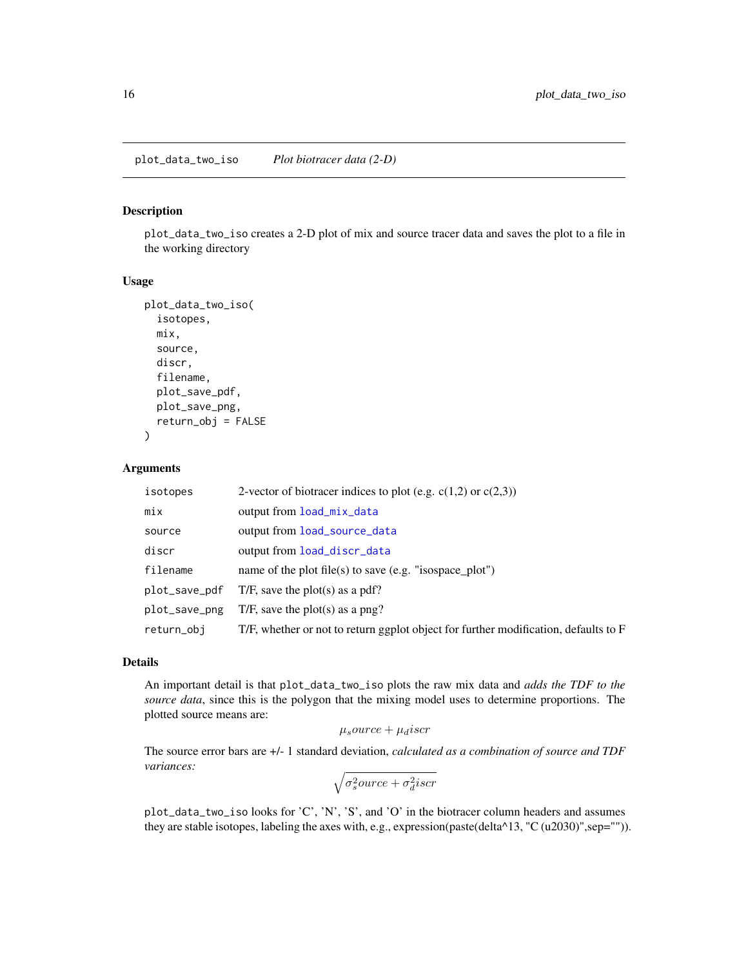# <span id="page-15-1"></span><span id="page-15-0"></span>Description

plot\_data\_two\_iso creates a 2-D plot of mix and source tracer data and saves the plot to a file in the working directory

# Usage

```
plot_data_two_iso(
  isotopes,
  mix,
  source,
  discr,
  filename,
  plot_save_pdf,
  plot_save_png,
  return_obj = FALSE
\mathcal{L}
```
# Arguments

| isotopes      | 2-vector of biotracer indices to plot (e.g. $c(1,2)$ or $c(2,3)$ )                  |
|---------------|-------------------------------------------------------------------------------------|
| mix           | output from load_mix_data                                                           |
| source        | output from load_source_data                                                        |
| discr         | output from load_discr_data                                                         |
| filename      | name of the plot file(s) to save (e.g. "isospace $plot$ ")                          |
| plot_save_pdf | T/F, save the plot(s) as a pdf?                                                     |
| plot_save_png | T/F, save the plot(s) as a png?                                                     |
| return_obj    | T/F, whether or not to return ggplot object for further modification, defaults to F |

#### Details

An important detail is that plot\_data\_two\_iso plots the raw mix data and *adds the TDF to the source data*, since this is the polygon that the mixing model uses to determine proportions. The plotted source means are:

 $\mu_s$ ource +  $\mu_d$ iscr

The source error bars are +/- 1 standard deviation, *calculated as a combination of source and TDF variances:*

$$
\sqrt{\sigma_s^2ource + \sigma_d^2iscr}
$$

plot\_data\_two\_iso looks for 'C', 'N', 'S', and 'O' in the biotracer column headers and assumes they are stable isotopes, labeling the axes with, e.g., expression(paste(delta^13, "C (u2030)",sep="")).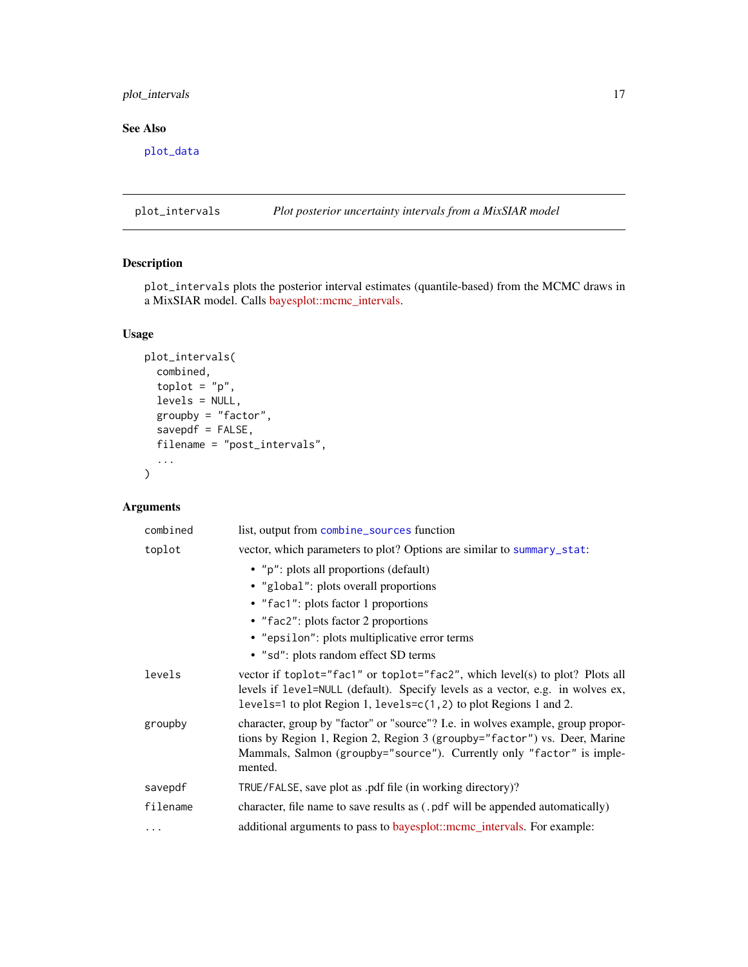# <span id="page-16-0"></span>plot\_intervals 17

# See Also

[plot\\_data](#page-12-1)

<span id="page-16-1"></span>plot\_intervals *Plot posterior uncertainty intervals from a MixSIAR model*

# Description

plot\_intervals plots the posterior interval estimates (quantile-based) from the MCMC draws in a MixSIAR model. Calls [bayesplot::mcmc\\_intervals.](http://mc-stan.org/bayesplot/reference/MCMC-intervals.html)

#### Usage

```
plot_intervals(
 combined,
  toplot = "p",levels = NULL,
 groupby = "factor",
  savepdf = FALSE,
  filename = "post_intervals",
  ...
)
```

| combined | list, output from combine_sources function                                                                                                                                                                                                       |
|----------|--------------------------------------------------------------------------------------------------------------------------------------------------------------------------------------------------------------------------------------------------|
| toplot   | vector, which parameters to plot? Options are similar to summary_stat:                                                                                                                                                                           |
|          | • "p": plots all proportions (default)                                                                                                                                                                                                           |
|          | • "global": plots overall proportions                                                                                                                                                                                                            |
|          | • "fac1": plots factor 1 proportions                                                                                                                                                                                                             |
|          | • "fac2": plots factor 2 proportions                                                                                                                                                                                                             |
|          | • "epsilon": plots multiplicative error terms                                                                                                                                                                                                    |
|          | • "sd": plots random effect SD terms                                                                                                                                                                                                             |
| levels   | vector if toplot="fac1" or toplot="fac2", which level(s) to plot? Plots all<br>levels if level=NULL (default). Specify levels as a vector, e.g. in wolves ex,<br>levels=1 to plot Region 1, levels=c(1,2) to plot Regions 1 and 2.               |
| groupby  | character, group by "factor" or "source"? I.e. in wolves example, group propor-<br>tions by Region 1, Region 2, Region 3 (groupby="factor") vs. Deer, Marine<br>Mammals, Salmon (groupby="source"). Currently only "factor" is imple-<br>mented. |
| savepdf  | TRUE/FALSE, save plot as .pdf file (in working directory)?                                                                                                                                                                                       |
| filename | character, file name to save results as (.pdf will be appended automatically)                                                                                                                                                                    |
| $\cdots$ | additional arguments to pass to bayesplot::mcmc_intervals. For example:                                                                                                                                                                          |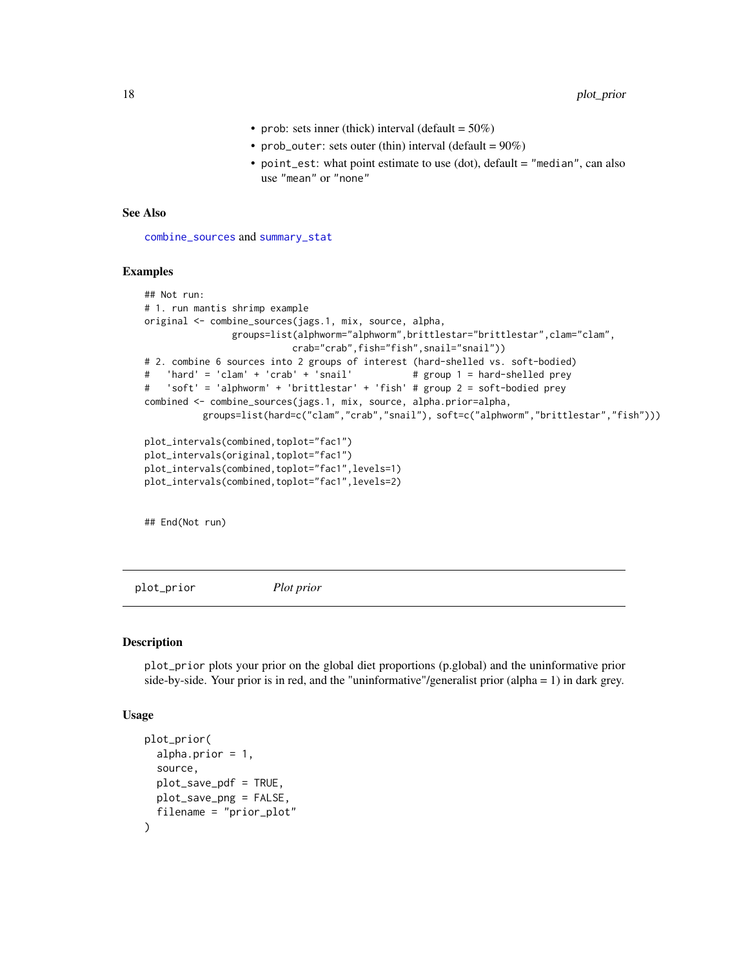- prob: sets inner (thick) interval (default =  $50\%$ )
- prob\_outer: sets outer (thin) interval (default =  $90\%$ )
- point\_est: what point estimate to use (dot), default = "median", can also use "mean" or "none"

#### <span id="page-17-0"></span>See Also

[combine\\_sources](#page-2-1) and [summary\\_stat](#page-19-1)

#### Examples

```
## Not run:
# 1. run mantis shrimp example
original <- combine_sources(jags.1, mix, source, alpha,
               groups=list(alphworm="alphworm",brittlestar="brittlestar",clam="clam",
                          crab="crab",fish="fish",snail="snail"))
# 2. combine 6 sources into 2 groups of interest (hard-shelled vs. soft-bodied)
# 'hard' = 'clam' + 'crab' + 'snail' # group 1 = hard-shelled prey
# 'soft' = 'alphworm' + 'brittlestar' + 'fish' # group 2 = soft-bodied prey
combined <- combine_sources(jags.1, mix, source, alpha.prior=alpha,
          groups=list(hard=c("clam","crab","snail"), soft=c("alphworm","brittlestar","fish")))
plot_intervals(combined,toplot="fac1")
plot_intervals(original,toplot="fac1")
plot_intervals(combined,toplot="fac1",levels=1)
plot_intervals(combined,toplot="fac1",levels=2)
```
## End(Not run)

plot\_prior *Plot prior*

#### Description

plot\_prior plots your prior on the global diet proportions (p.global) and the uninformative prior side-by-side. Your prior is in red, and the "uninformative"/generalist prior (alpha = 1) in dark grey.

#### Usage

```
plot_prior(
  alpha.prior = 1,
  source,
 plot_save_pdf = TRUE,
 plot_save_png = FALSE,
  filename = "prior_plot"
)
```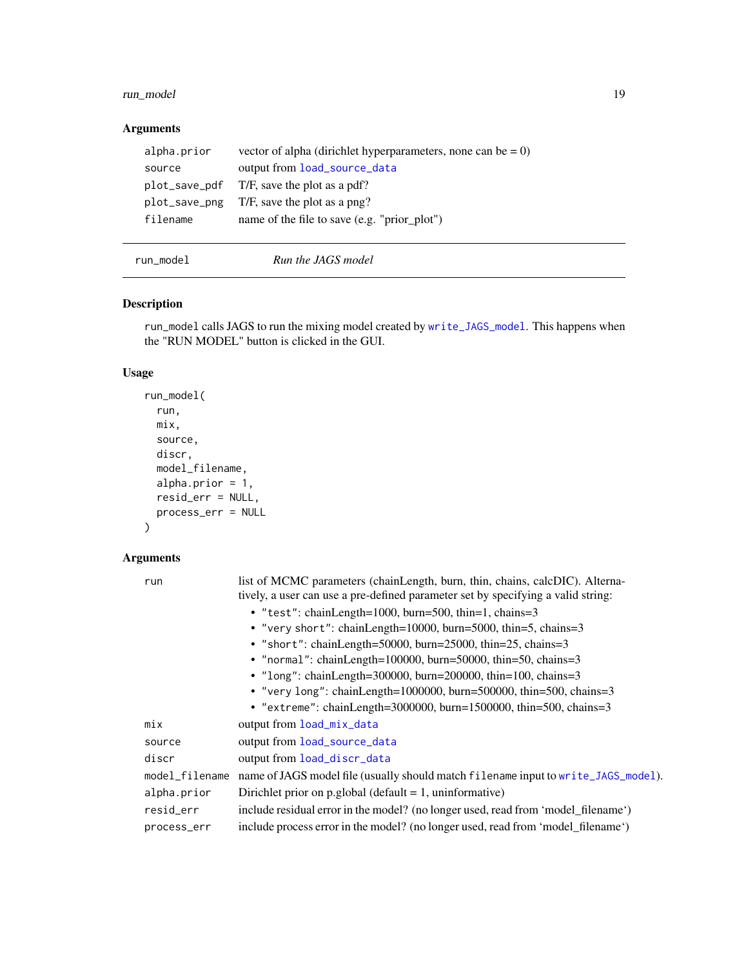# <span id="page-18-0"></span>run\_model 19

# Arguments

| alpha.prior   | vector of alpha (dirichlet hyperparameters, none can be $= 0$ ) |
|---------------|-----------------------------------------------------------------|
| source        | output from load_source_data                                    |
| plot_save_pdf | T/F, save the plot as a pdf?                                    |
| plot_save_png | T/F, save the plot as a png?                                    |
| filename      | name of the file to save (e.g. "prior_plot")                    |

<span id="page-18-1"></span>

run\_model *Run the JAGS model*

# Description

run\_model calls JAGS to run the mixing model created by [write\\_JAGS\\_model](#page-20-1). This happens when the "RUN MODEL" button is clicked in the GUI.

# Usage

```
run_model(
  run,
 mix,
 source,
 discr,
 model_filename,
 alpha.prior = 1,
  resid_err = NULL,
 process_err = NULL
)
```

| run            | list of MCMC parameters (chainLength, burn, thin, chains, calcDIC). Alterna-<br>tively, a user can use a pre-defined parameter set by specifying a valid string: |
|----------------|------------------------------------------------------------------------------------------------------------------------------------------------------------------|
|                | • "test": chainLength=1000, burn=500, thin=1, chains=3                                                                                                           |
|                | • "very short": chainLength=10000, burn=5000, thin=5, chains=3                                                                                                   |
|                | • "short": chainLength=50000, burn=25000, thin=25, chains=3                                                                                                      |
|                | • "normal": chainLength= $100000$ , burn= $50000$ , thin= $50$ , chains= $3$                                                                                     |
|                | • "long": chainLength=300000, burn=200000, thin=100, chains=3                                                                                                    |
|                | • "very long": chainLength=1000000, burn=500000, thin=500, chains=3                                                                                              |
|                | • "extreme": chainLength=3000000, burn=1500000, thin=500, chains=3                                                                                               |
| mix            | output from load_mix_data                                                                                                                                        |
| source         | output from load_source_data                                                                                                                                     |
| discr          | output from load_discr_data                                                                                                                                      |
| model_filename | name of JAGS model file (usually should match filename input to write_JAGS_model).                                                                               |
| alpha.prior    | Dirichlet prior on p.global (default $= 1$ , uninformative)                                                                                                      |
| resid_err      | include residual error in the model? (no longer used, read from 'model_filename')                                                                                |
| process_err    | include process error in the model? (no longer used, read from 'model_filename')                                                                                 |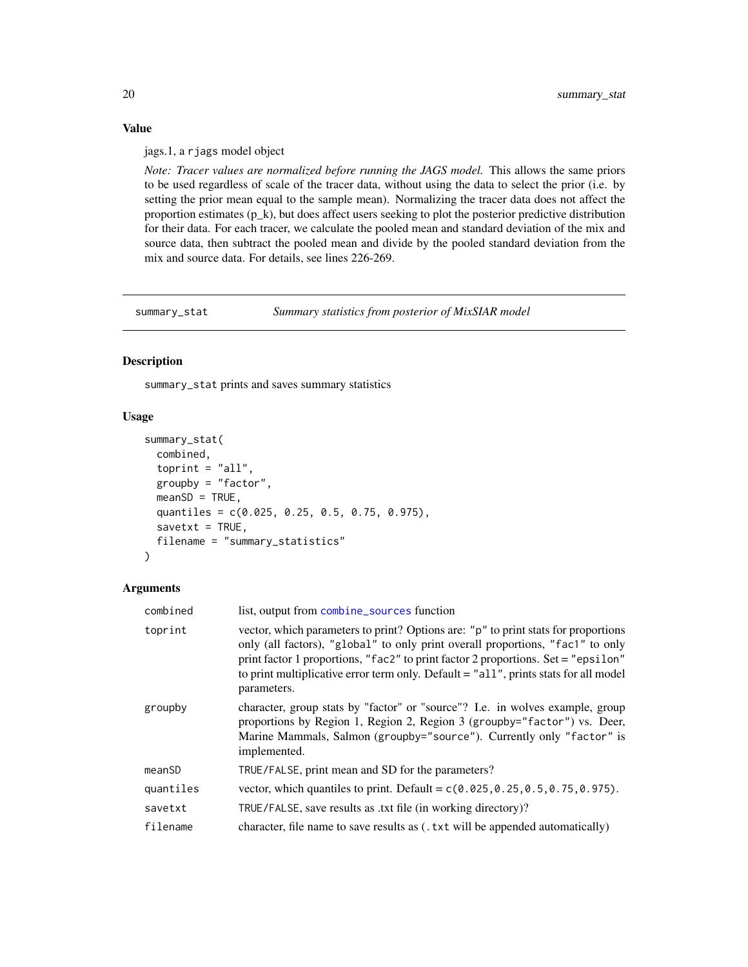# Value

#### jags.1, a rjags model object

*Note: Tracer values are normalized before running the JAGS model.* This allows the same priors to be used regardless of scale of the tracer data, without using the data to select the prior (i.e. by setting the prior mean equal to the sample mean). Normalizing the tracer data does not affect the proportion estimates (p\_k), but does affect users seeking to plot the posterior predictive distribution for their data. For each tracer, we calculate the pooled mean and standard deviation of the mix and source data, then subtract the pooled mean and divide by the pooled standard deviation from the mix and source data. For details, see lines 226-269.

<span id="page-19-1"></span>

summary\_stat *Summary statistics from posterior of MixSIAR model*

# Description

summary\_stat prints and saves summary statistics

# Usage

```
summary_stat(
 combined,
  toprint = "all",groupby = "factor",
 meanSD = TRUE,quantiles = c(0.025, 0.25, 0.5, 0.75, 0.975),
  savetxt = TRUE,filename = "summary_statistics"
)
```

| combined  | list, output from combine_sources function                                                                                                                                                                                                                                                                                                                       |
|-----------|------------------------------------------------------------------------------------------------------------------------------------------------------------------------------------------------------------------------------------------------------------------------------------------------------------------------------------------------------------------|
| toprint   | vector, which parameters to print? Options are: "p" to print stats for proportions<br>only (all factors), "global" to only print overall proportions, "fac1" to only<br>print factor 1 proportions, "fac2" to print factor 2 proportions. Set = "epsilon"<br>to print multiplicative error term only. Default = "all", prints stats for all model<br>parameters. |
| groupby   | character, group stats by "factor" or "source"? I.e. in wolves example, group<br>proportions by Region 1, Region 2, Region 3 (groupby="factor") vs. Deer,<br>Marine Mammals, Salmon (groupby="source"). Currently only "factor" is<br>implemented.                                                                                                               |
| meanSD    | TRUE/FALSE, print mean and SD for the parameters?                                                                                                                                                                                                                                                                                                                |
| quantiles | vector, which quantiles to print. Default = $c(0.025, 0.25, 0.5, 0.75, 0.975)$ .                                                                                                                                                                                                                                                                                 |
| savetxt   | TRUE/FALSE, save results as txt file (in working directory)?                                                                                                                                                                                                                                                                                                     |
| filename  | character, file name to save results as (. txt will be appended automatically)                                                                                                                                                                                                                                                                                   |

<span id="page-19-0"></span>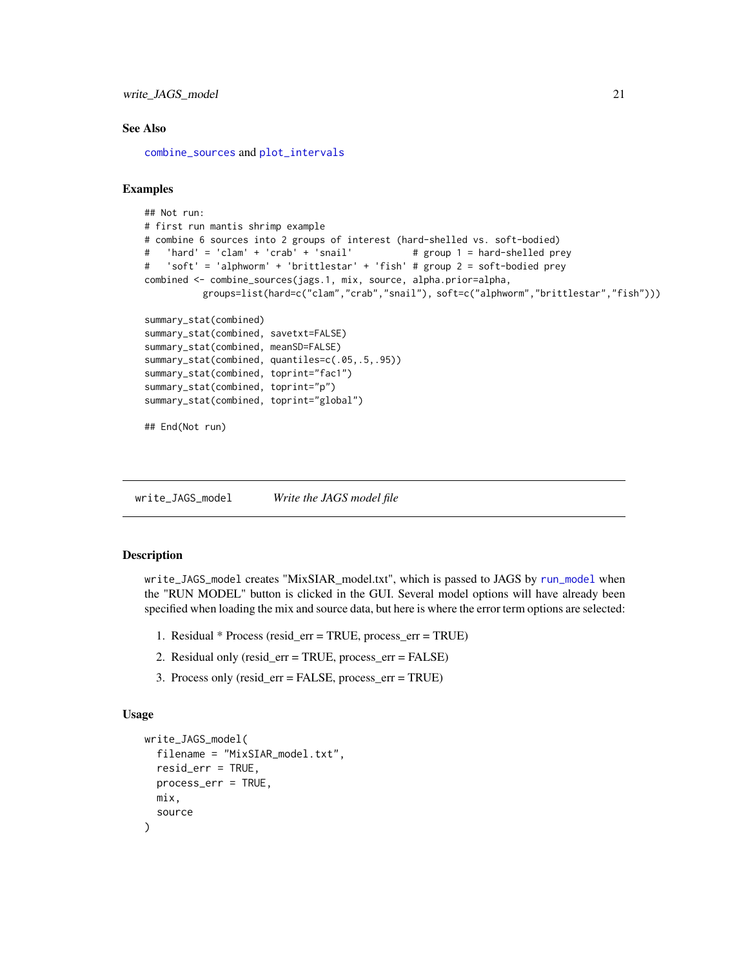#### <span id="page-20-0"></span>See Also

[combine\\_sources](#page-2-1) and [plot\\_intervals](#page-16-1)

#### Examples

```
## Not run:
# first run mantis shrimp example
# combine 6 sources into 2 groups of interest (hard-shelled vs. soft-bodied)
# 'hard' = 'clam' + 'crab' + 'snail' # group 1 = hard-shelled prey
# 'soft' = 'alphworm' + 'brittlestar' + 'fish' # group 2 = soft-bodied prey
combined <- combine_sources(jags.1, mix, source, alpha.prior=alpha,
          groups=list(hard=c("clam","crab","snail"), soft=c("alphworm","brittlestar","fish")))
summary_stat(combined)
summary_stat(combined, savetxt=FALSE)
summary_stat(combined, meanSD=FALSE)
summary_stat(combined, quantiles=c(.05,.5,.95))
summary_stat(combined, toprint="fac1")
summary_stat(combined, toprint="p")
summary_stat(combined, toprint="global")
## End(Not run)
```
<span id="page-20-1"></span>write\_JAGS\_model *Write the JAGS model file*

#### Description

write\_JAGS\_model creates "MixSIAR\_model.txt", which is passed to JAGS by [run\\_model](#page-18-1) when the "RUN MODEL" button is clicked in the GUI. Several model options will have already been specified when loading the mix and source data, but here is where the error term options are selected:

- 1. Residual \* Process (resid\_err = TRUE, process\_err = TRUE)
- 2. Residual only (resid\_err = TRUE, process\_err = FALSE)
- 3. Process only (resid\_err = FALSE, process\_err = TRUE)

#### Usage

```
write_JAGS_model(
  filename = "MixSIAR_model.txt",
  resid_err = TRUE,
 process_err = TRUE,
 mix,
  source
)
```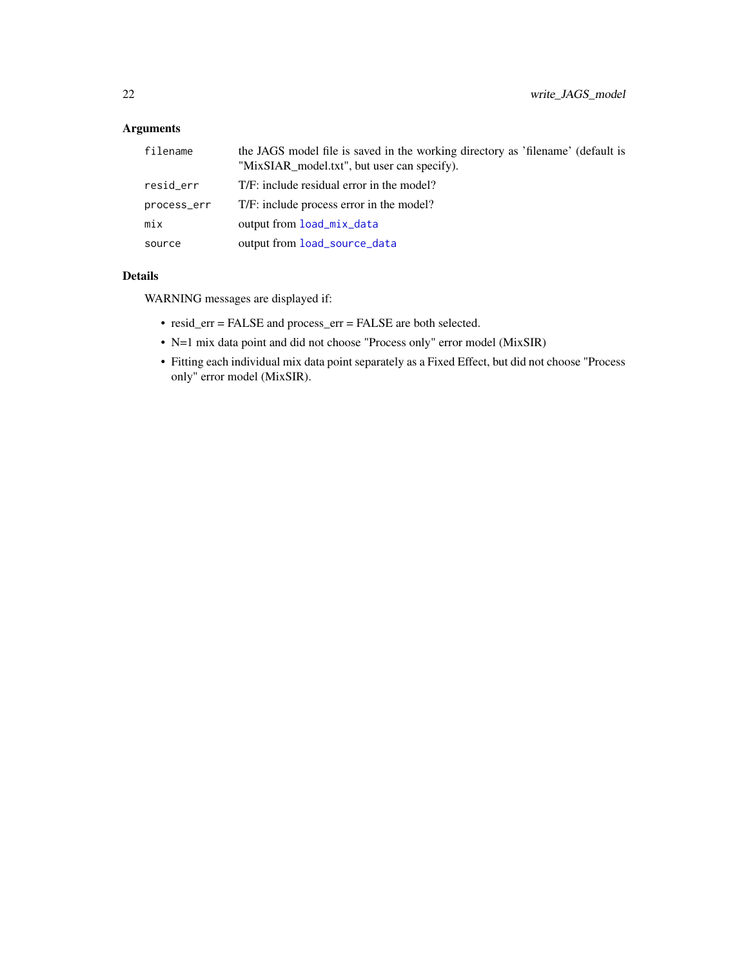# <span id="page-21-0"></span>Arguments

| filename    | the JAGS model file is saved in the working directory as 'filename' (default is<br>"MixSIAR_model.txt", but user can specify). |
|-------------|--------------------------------------------------------------------------------------------------------------------------------|
| resid_err   | T/F: include residual error in the model?                                                                                      |
| process_err | T/F: include process error in the model?                                                                                       |
| mix         | output from load_mix_data                                                                                                      |
| source      | output from load_source_data                                                                                                   |
|             |                                                                                                                                |

# Details

WARNING messages are displayed if:

- resid\_err = FALSE and process\_err = FALSE are both selected.
- N=1 mix data point and did not choose "Process only" error model (MixSIR)
- Fitting each individual mix data point separately as a Fixed Effect, but did not choose "Process only" error model (MixSIR).